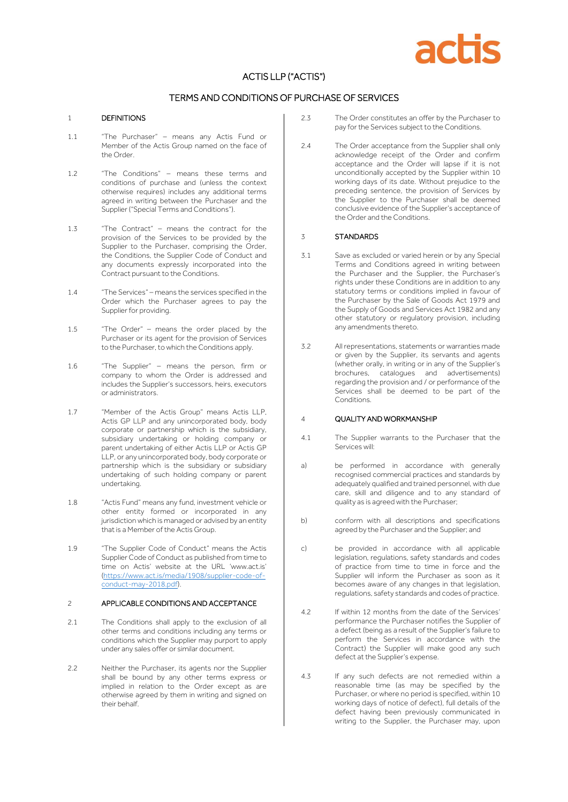

# ACTIS LLP ("ACTIS")

# TERMS AND CONDITIONS OF PURCHASE OF SERVICES

#### 1 DEFINITIONS

- 1.1 "The Purchaser" means any Actis Fund or Member of the Actis Group named on the face of the Order.
- 1.2 "The Conditions" means these terms and conditions of purchase and (unless the context otherwise requires) includes any additional terms agreed in writing between the Purchaser and the Supplier ("Special Terms and Conditions").
- 1.3 "The Contract" means the contract for the provision of the Services to be provided by the Supplier to the Purchaser, comprising the Order, the Conditions, the Supplier Code of Conduct and any documents expressly incorporated into the Contract pursuant to the Conditions.
- 1.4 "The Services" means the services specified in the Order which the Purchaser agrees to pay the Supplier for providing.
- 1.5 "The Order" means the order placed by the Purchaser or its agent for the provision of Services to the Purchaser, to which the Conditions apply.
- 1.6 "The Supplier" means the person, firm or company to whom the Order is addressed and includes the Supplier's successors, heirs, executors or administrators.
- 1.7 "Member of the Actis Group" means Actis LLP, Actis GP LLP and any unincorporated body, body corporate or partnership which is the subsidiary, subsidiary undertaking or holding company or parent undertaking of either Actis LLP or Actis GP LLP, or any unincorporated body, body corporate or partnership which is the subsidiary or subsidiary undertaking of such holding company or parent undertaking.
- 1.8 "Actis Fund" means any fund, investment vehicle or other entity formed or incorporated in any jurisdiction which is managed or advised by an entity that is a Member of the Actis Group.
- 1.9 "The Supplier Code of Conduct" means the Actis Supplier Code of Conduct as published from time to time on Actis' website at the URL 'www.act.is' [\(https://www.act.is/media/1908/supplier-code-of](https://www.act.is/media/1908/supplier-code-of-conduct-may-2018.pdf)[conduct-may-2018.pdf\)](https://www.act.is/media/1908/supplier-code-of-conduct-may-2018.pdf).

#### 2 APPLICABLE CONDITIONS AND ACCEPTANCE

- 2.1 The Conditions shall apply to the exclusion of all other terms and conditions including any terms or conditions which the Supplier may purport to apply under any sales offer or similar document.
- 2.2 Neither the Purchaser, its agents nor the Supplier shall be bound by any other terms express or implied in relation to the Order except as are otherwise agreed by them in writing and signed on their behalf.
- 2.3 The Order constitutes an offer by the Purchaser to pay for the Services subject to the Conditions.
- 2.4 The Order acceptance from the Supplier shall only acknowledge receipt of the Order and confirm acceptance and the Order will lapse if it is not unconditionally accepted by the Supplier within 10 working days of its date. Without prejudice to the preceding sentence, the provision of Services by the Supplier to the Purchaser shall be deemed conclusive evidence of the Supplier's acceptance of the Order and the Conditions.

## 3 STANDARDS

- 3.1 Save as excluded or varied herein or by any Special Terms and Conditions agreed in writing between the Purchaser and the Supplier, the Purchaser's rights under these Conditions are in addition to any statutory terms or conditions implied in favour of the Purchaser by the Sale of Goods Act 1979 and the Supply of Goods and Services Act 1982 and any other statutory or regulatory provision, including any amendments thereto.
- 3.2 All representations, statements or warranties made or given by the Supplier, its servants and agents (whether orally, in writing or in any of the Supplier's brochures, catalogues and advertisements) regarding the provision and / or performance of the Services shall be deemed to be part of the Conditions.

# 4 QUALITY AND WORKMANSHIP

- 4.1 The Supplier warrants to the Purchaser that the Services will:
- a) be performed in accordance with generally recognised commercial practices and standards by adequately qualified and trained personnel, with due care, skill and diligence and to any standard of quality as is agreed with the Purchaser;
- b) conform with all descriptions and specifications agreed by the Purchaser and the Supplier; and
- c) be provided in accordance with all applicable legislation, regulations, safety standards and codes of practice from time to time in force and the Supplier will inform the Purchaser as soon as it becomes aware of any changes in that legislation, regulations, safety standards and codes of practice.
- 4.2 If within 12 months from the date of the Services' performance the Purchaser notifies the Supplier of a defect (being as a result of the Supplier's failure to perform the Services in accordance with the Contract) the Supplier will make good any such defect at the Supplier's expense.
- 4.3 If any such defects are not remedied within a reasonable time (as may be specified by the Purchaser, or where no period is specified, within 10 working days of notice of defect), full details of the defect having been previously communicated in writing to the Supplier, the Purchaser may, upon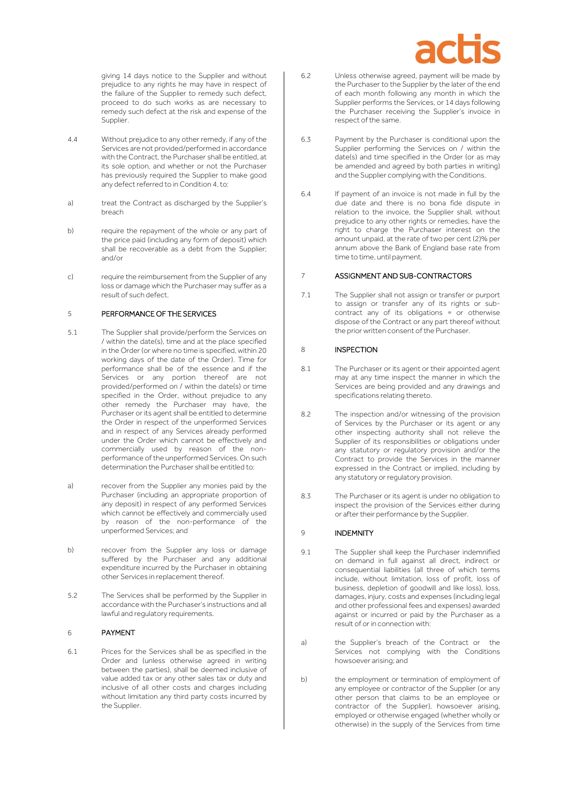

giving 14 days notice to the Supplier and without prejudice to any rights he may have in respect of the failure of the Supplier to remedy such defect, proceed to do such works as are necessary to remedy such defect at the risk and expense of the Supplier.

- 4.4 Without prejudice to any other remedy, if any of the Services are not provided/performed in accordance with the Contract, the Purchaser shall be entitled, at its sole option, and whether or not the Purchaser has previously required the Supplier to make good any defect referred to in Condition 4, to:
- a) treat the Contract as discharged by the Supplier's breach
- b) require the repayment of the whole or any part of the price paid (including any form of deposit) which shall be recoverable as a debt from the Supplier; and/or
- c) require the reimbursement from the Supplier of any loss or damage which the Purchaser may suffer as a result of such defect.

#### 5 PERFORMANCE OF THE SERVICES

- 5.1 The Supplier shall provide/perform the Services on / within the date(s), time and at the place specified in the Order (or where no time is specified, within 20 working days of the date of the Order). Time for performance shall be of the essence and if the Services or any portion thereof are not provided/performed on / within the date(s) or time specified in the Order, without prejudice to any other remedy the Purchaser may have, the Purchaser or its agent shall be entitled to determine the Order in respect of the unperformed Services and in respect of any Services already performed under the Order which cannot be effectively and commercially used by reason of the nonperformance of the unperformed Services. On such determination the Purchaser shall be entitled to:
- a) recover from the Supplier any monies paid by the Purchaser (including an appropriate proportion of any deposit) in respect of any performed Services which cannot be effectively and commercially used by reason of the non-performance of the unperformed Services; and
- b) recover from the Supplier any loss or damage suffered by the Purchaser and any additional expenditure incurred by the Purchaser in obtaining other Services in replacement thereof.
- 5.2 The Services shall be performed by the Supplier in accordance with the Purchaser's instructions and all lawful and regulatory requirements.

# 6 PAYMENT

6.1 Prices for the Services shall be as specified in the Order and (unless otherwise agreed in writing between the parties), shall be deemed inclusive of value added tax or any other sales tax or duty and inclusive of all other costs and charges including without limitation any third party costs incurred by the Supplier.

- 6.2 Unless otherwise agreed, payment will be made by the Purchaser to the Supplier by the later of the end of each month following any month in which the Supplier performs the Services, or 14 days following the Purchaser receiving the Supplier's invoice in respect of the same.
- 6.3 Payment by the Purchaser is conditional upon the Supplier performing the Services on / within the date(s) and time specified in the Order (or as may be amended and agreed by both parties in writing) and the Supplier complying with the Conditions.
- 6.4 If payment of an invoice is not made in full by the due date and there is no bona fide dispute in relation to the invoice, the Supplier shall, without prejudice to any other rights or remedies, have the right to charge the Purchaser interest on the amount unpaid, at the rate of two per cent (2)% per annum above the Bank of England base rate from time to time, until payment.

### 7 ASSIGNMENT AND SUB-CONTRACTORS

7.1 The Supplier shall not assign or transfer or purport to assign or transfer any of its rights or subcontract any of its obligations = or otherwise dispose of the Contract or any part thereof without the prior written consent of the Purchaser.

## 8 **INSPECTION**

- 8.1 The Purchaser or its agent or their appointed agent may at any time inspect the manner in which the Services are being provided and any drawings and specifications relating thereto.
- 8.2 The inspection and/or witnessing of the provision of Services by the Purchaser or its agent or any other inspecting authority shall not relieve the Supplier of its responsibilities or obligations under any statutory or regulatory provision and/or the Contract to provide the Services in the manner expressed in the Contract or implied, including by any statutory or regulatory provision.
- 8.3 The Purchaser or its agent is under no obligation to inspect the provision of the Services either during or after their performance by the Supplier.

#### 9 **INDEMNITY**

- 9.1 The Supplier shall keep the Purchaser indemnified on demand in full against all direct, indirect or consequential liabilities (all three of which terms include, without limitation, loss of profit, loss of business, depletion of goodwill and like loss), loss, damages, injury, costs and expenses (including legal and other professional fees and expenses) awarded against or incurred or paid by the Purchaser as a result of or in connection with:
- a) the Supplier's breach of the Contract or the Services not complying with the Conditions howsoever arising; and
- b) the employment or termination of employment of any employee or contractor of the Supplier (or any other person that claims to be an employee or contractor of the Supplier), howsoever arising, employed or otherwise engaged (whether wholly or otherwise) in the supply of the Services from time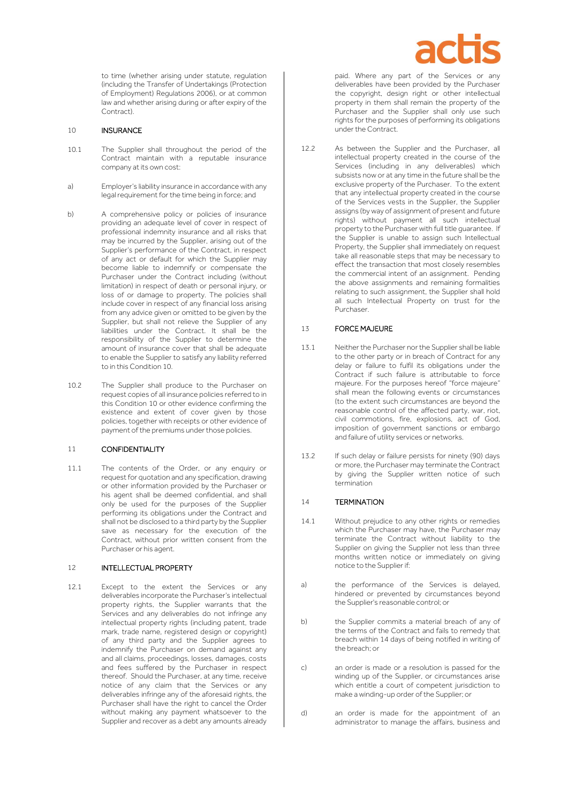

to time (whether arising under statute, regulation (including the Transfer of Undertakings (Protection of Employment) Regulations 2006), or at common law and whether arising during or after expiry of the Contract).

#### 10 INSURANCE

- 10.1 The Supplier shall throughout the period of the Contract maintain with a reputable insurance company at its own cost:
- a) Employer's liability insurance in accordance with any legal requirement for the time being in force; and
- b) A comprehensive policy or policies of insurance providing an adequate level of cover in respect of professional indemnity insurance and all risks that may be incurred by the Supplier, arising out of the Supplier's performance of the Contract, in respect of any act or default for which the Supplier may become liable to indemnify or compensate the Purchaser under the Contract including (without limitation) in respect of death or personal injury, or loss of or damage to property. The policies shall include cover in respect of any financial loss arising from any advice given or omitted to be given by the Supplier, but shall not relieve the Supplier of any liabilities under the Contract. It shall be the responsibility of the Supplier to determine the amount of insurance cover that shall be adequate to enable the Supplier to satisfy any liability referred to in this Condition 10.
- 10.2 The Supplier shall produce to the Purchaser on request copies of all insurance policies referred to in this Condition 10 or other evidence confirming the existence and extent of cover given by those policies, together with receipts or other evidence of payment of the premiums under those policies.

#### 11 CONFIDENTIALITY

11.1 The contents of the Order, or any enquiry or request for quotation and any specification, drawing or other information provided by the Purchaser or his agent shall be deemed confidential, and shall only be used for the purposes of the Supplier performing its obligations under the Contract and shall not be disclosed to a third party by the Supplier save as necessary for the execution of the Contract, without prior written consent from the Purchaser or his agent.

#### 12 INTELLECTUAL PROPERTY

12.1 Except to the extent the Services or any deliverables incorporate the Purchaser's intellectual property rights, the Supplier warrants that the Services and any deliverables do not infringe any intellectual property rights (including patent, trade mark, trade name, registered design or copyright) of any third party and the Supplier agrees to indemnify the Purchaser on demand against any and all claims, proceedings, losses, damages, costs and fees suffered by the Purchaser in respect thereof. Should the Purchaser, at any time, receive notice of any claim that the Services or any deliverables infringe any of the aforesaid rights, the Purchaser shall have the right to cancel the Order without making any payment whatsoever to the Supplier and recover as a debt any amounts already

paid. Where any part of the Services or any deliverables have been provided by the Purchaser the copyright, design right or other intellectual property in them shall remain the property of the Purchaser and the Supplier shall only use such rights for the purposes of performing its obligations under the Contract.

12.2 As between the Supplier and the Purchaser, all intellectual property created in the course of the Services (including in any deliverables) which subsists now or at any time in the future shall be the exclusive property of the Purchaser. To the extent that any intellectual property created in the course of the Services vests in the Supplier, the Supplier assigns (by way of assignment of present and future rights) without payment all such intellectual property to the Purchaser with full title guarantee. If the Supplier is unable to assign such Intellectual Property, the Supplier shall immediately on request take all reasonable steps that may be necessary to effect the transaction that most closely resembles the commercial intent of an assignment. Pending the above assignments and remaining formalities relating to such assignment, the Supplier shall hold all such Intellectual Property on trust for the Purchaser.

### 13 FORCE MAJEURE

- 13.1 Neither the Purchaser nor the Supplier shall be liable to the other party or in breach of Contract for any delay or failure to fulfil its obligations under the Contract if such failure is attributable to force majeure. For the purposes hereof "force majeure" shall mean the following events or circumstances (to the extent such circumstances are beyond the reasonable control of the affected party, war, riot, civil commotions, fire, explosions, act of God, imposition of government sanctions or embargo and failure of utility services or networks.
- 13.2 If such delay or failure persists for ninety (90) days or more, the Purchaser may terminate the Contract by giving the Supplier written notice of such termination

#### 14 TERMINATION

- 14.1 Without prejudice to any other rights or remedies which the Purchaser may have, the Purchaser may terminate the Contract without liability to the Supplier on giving the Supplier not less than three months written notice or immediately on giving notice to the Supplier if:
- a) the performance of the Services is delayed, hindered or prevented by circumstances beyond the Supplier's reasonable control; or
- b) the Supplier commits a material breach of any of the terms of the Contract and fails to remedy that breach within 14 days of being notified in writing of the breach; or
- c) an order is made or a resolution is passed for the winding up of the Supplier, or circumstances arise which entitle a court of competent jurisdiction to make a winding-up order of the Supplier; or
- d) an order is made for the appointment of an administrator to manage the affairs, business and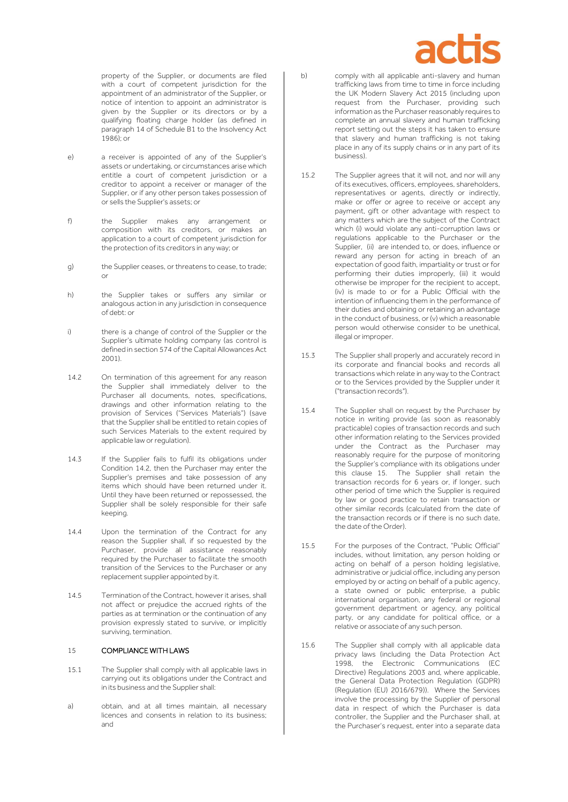

property of the Supplier, or documents are filed with a court of competent jurisdiction for the appointment of an administrator of the Supplier, or notice of intention to appoint an administrator is given by the Supplier or its directors or by a qualifying floating charge holder (as defined in paragraph 14 of Schedule B1 to the Insolvency Act 1986); or

- e) a receiver is appointed of any of the Supplier's assets or undertaking, or circumstances arise which entitle a court of competent jurisdiction or a creditor to appoint a receiver or manager of the Supplier, or if any other person takes possession of or sells the Supplier's assets; or
- f) the Supplier makes any arrangement or composition with its creditors, or makes an application to a court of competent jurisdiction for the protection of its creditors in any way; or
- g) the Supplier ceases, or threatens to cease, to trade; or
- h) the Supplier takes or suffers any similar or analogous action in any jurisdiction in consequence of debt: or
- i) there is a change of control of the Supplier or the Supplier's ultimate holding company (as control is defined in section 574 of the Capital Allowances Act 2001).
- <span id="page-3-0"></span>14.2 On termination of this agreement for any reason the Supplier shall immediately deliver to the Purchaser all documents, notes, specifications, drawings and other information relating to the provision of Services ("Services Materials") (save that the Supplier shall be entitled to retain copies of such Services Materials to the extent required by applicable law or regulation).
- 14.3 If the Supplier fails to fulfil its obligations under Condition [14.2,](#page-3-0) then the Purchaser may enter the Supplier's premises and take possession of any items which should have been returned under it. Until they have been returned or repossessed, the Supplier shall be solely responsible for their safe keeping.
- 14.4 Upon the termination of the Contract for any reason the Supplier shall, if so requested by the Purchaser, provide all assistance reasonably required by the Purchaser to facilitate the smooth transition of the Services to the Purchaser or any replacement supplier appointed by it.
- 14.5 Termination of the Contract, however it arises, shall not affect or prejudice the accrued rights of the parties as at termination or the continuation of any provision expressly stated to survive, or implicitly surviving, termination.

### 15 COMPLIANCE WITH LAWS

- 15.1 The Supplier shall comply with all applicable laws in carrying out its obligations under the Contract and in its business and the Supplier shall:
- a) obtain, and at all times maintain, all necessary licences and consents in relation to its business; and
- b) comply with all applicable anti-slavery and human trafficking laws from time to time in force including the UK Modern Slavery Act 2015 (including upon request from the Purchaser, providing such information as the Purchaser reasonably requires to complete an annual slavery and human trafficking report setting out the steps it has taken to ensure that slavery and human trafficking is not taking place in any of its supply chains or in any part of its business).
- 15.2 The Supplier agrees that it will not, and nor will any of its executives, officers, employees, shareholders, representatives or agents, directly or indirectly, make or offer or agree to receive or accept any payment, gift or other advantage with respect to any matters which are the subject of the Contract which (i) would violate any anti-corruption laws or regulations applicable to the Purchaser or the Supplier, (ii) are intended to, or does, influence or reward any person for acting in breach of an expectation of good faith, impartiality or trust or for performing their duties improperly, (iii) it would otherwise be improper for the recipient to accept, (iv) is made to or for a Public Official with the intention of influencing them in the performance of their duties and obtaining or retaining an advantage in the conduct of business, or (v) which a reasonable person would otherwise consider to be unethical, illegal or improper.
- 15.3 The Supplier shall properly and accurately record in its corporate and financial books and records all transactions which relate in any way to the Contract or to the Services provided by the Supplier under it ("transaction records").
- 15.4 The Supplier shall on request by the Purchaser by notice in writing provide (as soon as reasonably practicable) copies of transaction records and such other information relating to the Services provided under the Contract as the Purchaser may reasonably require for the purpose of monitoring the Supplier's compliance with its obligations under this clause 15. The Supplier shall retain the transaction records for 6 years or, if longer, such other period of time which the Supplier is required by law or good practice to retain transaction or other similar records (calculated from the date of the transaction records or if there is no such date, the date of the Order).
- 15.5 For the purposes of the Contract, "Public Official" includes, without limitation, any person holding or acting on behalf of a person holding legislative, administrative or judicial office, including any person employed by or acting on behalf of a public agency, a state owned or public enterprise, a public international organisation, any federal or regional government department or agency, any political party, or any candidate for political office, or a relative or associate of any such person.
- 15.6 The Supplier shall comply with all applicable data privacy laws (including the Data Protection Act 1998, the Electronic Communications Directive) Regulations 2003 and, where applicable. the General Data Protection Regulation (GDPR) (Regulation (EU) 2016/679)). Where the Services involve the processing by the Supplier of personal data in respect of which the Purchaser is data controller, the Supplier and the Purchaser shall, at the Purchaser's request, enter into a separate data